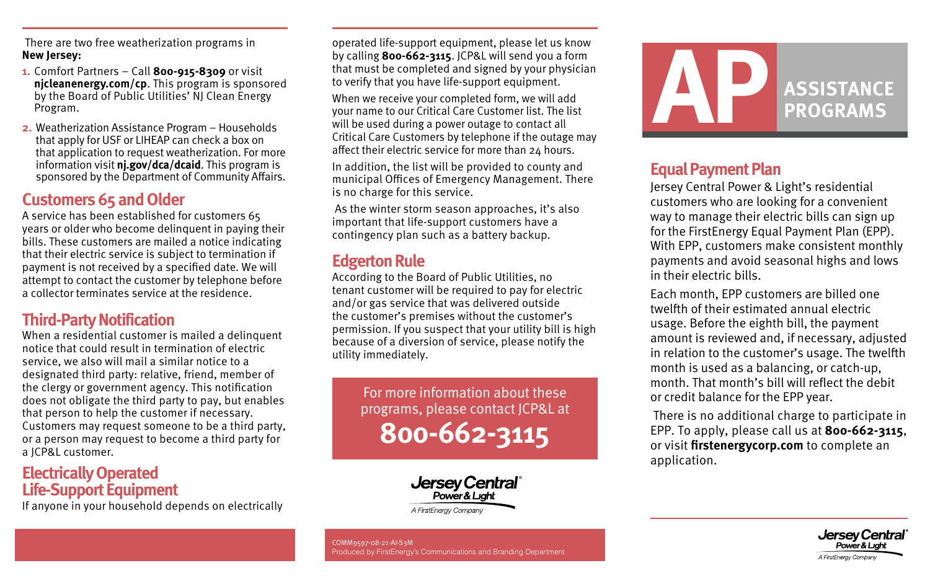There are two free weatherization programs in **New Jersey:**

- **1.** Comfort Partners Call **800-915-8309** or visit **[njcleanenergy.com/cp](https://njcleanenergy.com/cp)**. This program is sponsored by the Board of Public Utilities' NJ Clean Energy Program.
- **2.** Weatherization Assistance Program Households that apply for USF or LIHEAP can check a box on that application to request weatherization. For more information visit **[nj.gov/dca/dcaid](https://njdca-housing.dynamics365portals.us/en-US/)**. This program is sponsored by the Department of Community Affairs.

## **Customers 65 and Older**

A service has been established for customers 65 years or older who become delinquent in paying their bills. These customers are mailed a notice indicating that their electric service is subject to termination if payment is not received by a specified date. We will attempt to contact the customer by telephone before a collector terminates service at the residence.

## **Third-Party Notification**

When a residential customer is mailed a delinquent notice that could result in termination of electric service, we also will mail a similar notice to a designated third party: relative, friend, member of the clergy or government agency. This notification does not obligate the third party to pay, but enables that person to help the customer if necessary. Customers may request someone to be a third party, or a person may request to become a third party for a JCP&L customer.

#### **Electrically Operated Life-Support Equipment**

If anyone in your household depends on electrically

operated life-support equipment, please let us know by calling **800-662-3115**. JCP&L will send you a form that must be completed and signed by your physician to verify that you have life-support equipment.

When we receive your completed form, we will add your name to our Critical Care Customer list. The list will be used during a power outage to contact all Critical Care Customers by telephone if the outage may affect their electric service for more than 24 hours.

In addition, the list will be provided to county and municipal Offices of Emergency Management. There is no charge for this service.

 As the winter storm season approaches, it's also important that life-support customers have a contingency plan such as a battery backup.

## **Edgerton Rule**

According to the Board of Public Utilities, no tenant customer will be required to pay for electric and/or gas service that was delivered outside the customer's premises without the customer's permission. If you suspect that your utility bill is high because of a diversion of service, please notify the utility immediately.

For more information about these programs, please contact JCP&L at **800-662-3115**



COMM9597-08-21-AI-S3M Produced by FirstEnergy's Communications and Branding Department



## **Equal Payment Plan**

Jersey Central Power & Light's residential customers who are looking for a convenient way to manage their electric bills can sign up for the FirstEnergy Equal Payment Plan (EPP). With EPP, customers make consistent monthly payments and avoid seasonal highs and lows in their electric bills.

Each month, EPP customers are billed one twelfth of their estimated annual electric usage. Before the eighth bill, the payment amount is reviewed and, if necessary, adjusted in relation to the customer's usage. The twelfth month is used as a balancing, or catch-up, month. That month's bill will reflect the debit or credit balance for the EPP year.

 There is no additional charge to participate in EPP. To apply, please call us at **800-662-3115**, or visit **[firstenergycorp.com](https://www.firstenergycorp.com/fehome.html)** to complete an application.